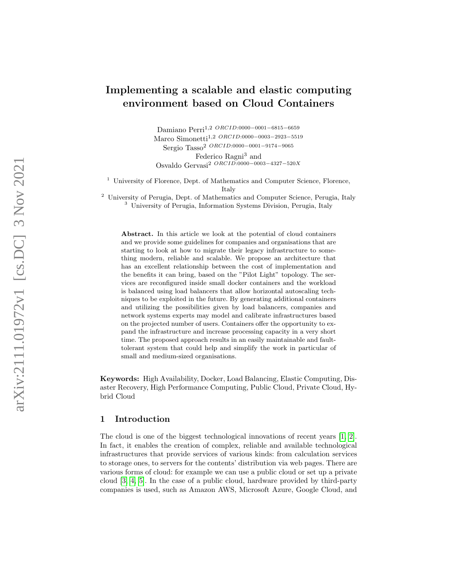# Implementing a scalable and elastic computing environment based on Cloud Containers

Damiano Perri<sup>1,2</sup> ORCID:0000–0001–6815–6659 Marco Simonetti<sup>1,2</sup> ORCID:0000–0003–2923–5519 Sergio Tasso<sup>2</sup> <sup>ORCID:0000-0001-9174-9065</sup>

Federico Ragni<sup>3</sup> and Osvaldo Gervasi<sup>2</sup>  $ORCID: 0000 - 0003 - 4327 - 520X$ 

<sup>1</sup> University of Florence, Dept. of Mathematics and Computer Science, Florence,

Italy

<sup>2</sup> University of Perugia, Dept. of Mathematics and Computer Science, Perugia, Italy <sup>3</sup> University of Perugia, Information Systems Division, Perugia, Italy

Abstract. In this article we look at the potential of cloud containers and we provide some guidelines for companies and organisations that are starting to look at how to migrate their legacy infrastructure to something modern, reliable and scalable. We propose an architecture that has an excellent relationship between the cost of implementation and the benefits it can bring, based on the "Pilot Light" topology. The services are reconfigured inside small docker containers and the workload is balanced using load balancers that allow horizontal autoscaling techniques to be exploited in the future. By generating additional containers and utilizing the possibilities given by load balancers, companies and network systems experts may model and calibrate infrastructures based on the projected number of users. Containers offer the opportunity to expand the infrastructure and increase processing capacity in a very short time. The proposed approach results in an easily maintainable and faulttolerant system that could help and simplify the work in particular of small and medium-sized organisations.

Keywords: High Availability, Docker, Load Balancing, Elastic Computing, Disaster Recovery, High Performance Computing, Public Cloud, Private Cloud, Hybrid Cloud

#### 1 Introduction

The cloud is one of the biggest technological innovations of recent years [\[1,](#page-11-0) [2\]](#page-11-1). In fact, it enables the creation of complex, reliable and available technological infrastructures that provide services of various kinds: from calculation services to storage ones, to servers for the contents' distribution via web pages. There are various forms of cloud: for example we can use a public cloud or set up a private cloud [\[3,](#page-11-2) [4,](#page-11-3) [5\]](#page-11-4). In the case of a public cloud, hardware provided by third-party companies is used, such as Amazon AWS, Microsoft Azure, Google Cloud, and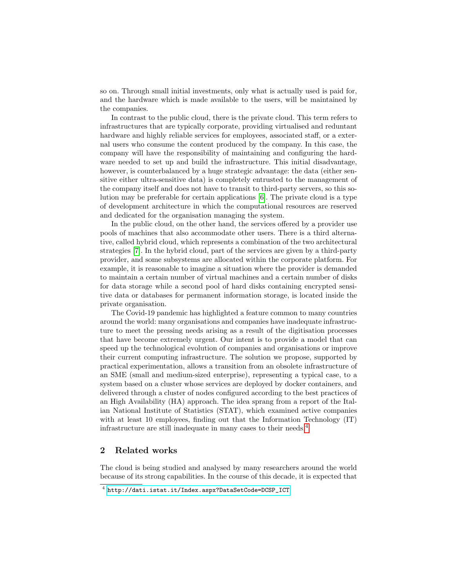so on. Through small initial investments, only what is actually used is paid for, and the hardware which is made available to the users, will be maintained by the companies.

In contrast to the public cloud, there is the private cloud. This term refers to infrastructures that are typically corporate, providing virtualised and reduntant hardware and highly reliable services for employees, associated staff, or a external users who consume the content produced by the company. In this case, the company will have the responsibility of maintaining and configuring the hardware needed to set up and build the infrastructure. This initial disadvantage, however, is counterbalanced by a huge strategic advantage: the data (either sensitive either ultra-sensitive data) is completely entrusted to the management of the company itself and does not have to transit to third-party servers, so this solution may be preferable for certain applications [\[6\]](#page-11-5). The private cloud is a type of development architecture in which the computational resources are reserved and dedicated for the organisation managing the system.

In the public cloud, on the other hand, the services offered by a provider use pools of machines that also accommodate other users. There is a third alternative, called hybrid cloud, which represents a combination of the two architectural strategies [\[7\]](#page-11-6). In the hybrid cloud, part of the services are given by a third-party provider, and some subsystems are allocated within the corporate platform. For example, it is reasonable to imagine a situation where the provider is demanded to maintain a certain number of virtual machines and a certain number of disks for data storage while a second pool of hard disks containing encrypted sensitive data or databases for permanent information storage, is located inside the private organisation.

The Covid-19 pandemic has highlighted a feature common to many countries around the world: many organisations and companies have inadequate infrastructure to meet the pressing needs arising as a result of the digitisation processes that have become extremely urgent. Our intent is to provide a model that can speed up the technological evolution of companies and organisations or improve their current computing infrastructure. The solution we propose, supported by practical experimentation, allows a transition from an obsolete infrastructure of an SME (small and medium-sized enterprise), representing a typical case, to a system based on a cluster whose services are deployed by docker containers, and delivered through a cluster of nodes configured according to the best practices of an High Availability (HA) approach. The idea sprang from a report of the Italian National Institute of Statistics (STAT), which examined active companies with at least 10 employees, finding out that the Information Technology (IT) infrastructure are still inadequate in many cases to their needs.[4](#page-1-0)

# 2 Related works

The cloud is being studied and analysed by many researchers around the world because of its strong capabilities. In the course of this decade, it is expected that

<span id="page-1-0"></span><sup>4</sup> [http://dati.istat.it/Index.aspx?DataSetCode=DCSP\\_ICT](http://dati.istat.it/Index.aspx?DataSetCode=DCSP_ICT)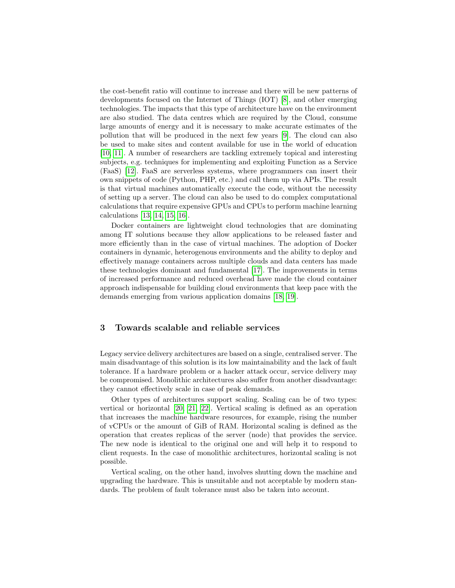the cost-benefit ratio will continue to increase and there will be new patterns of developments focused on the Internet of Things (IOT) [\[8\]](#page-11-7), and other emerging technologies. The impacts that this type of architecture have on the environment are also studied. The data centres which are required by the Cloud, consume large amounts of energy and it is necessary to make accurate estimates of the pollution that will be produced in the next few years [\[9\]](#page-11-8). The cloud can also be used to make sites and content available for use in the world of education [\[10,](#page-12-0) [11\]](#page-12-1). A number of researchers are tackling extremely topical and interesting subjects, e.g. techniques for implementing and exploiting Function as a Service (FaaS) [\[12\]](#page-12-2). FaaS are serverless systems, where programmers can insert their own snippets of code (Python, PHP, etc.) and call them up via APIs. The result is that virtual machines automatically execute the code, without the necessity of setting up a server. The cloud can also be used to do complex computational calculations that require expensive GPUs and CPUs to perform machine learning calculations [\[13,](#page-12-3) [14,](#page-12-4) [15,](#page-12-5) [16\]](#page-12-6).

Docker containers are lightweight cloud technologies that are dominating among IT solutions because they allow applications to be released faster and more efficiently than in the case of virtual machines. The adoption of Docker containers in dynamic, heterogenous environments and the ability to deploy and effectively manage containers across multiple clouds and data centers has made these technologies dominant and fundamental [\[17\]](#page-13-0). The improvements in terms of increased performance and reduced overhead have made the cloud container approach indispensable for building cloud environments that keep pace with the demands emerging from various application domains [\[18,](#page-13-1) [19\]](#page-13-2).

## 3 Towards scalable and reliable services

Legacy service delivery architectures are based on a single, centralised server. The main disadvantage of this solution is its low maintainability and the lack of fault tolerance. If a hardware problem or a hacker attack occur, service delivery may be compromised. Monolithic architectures also suffer from another disadvantage: they cannot effectively scale in case of peak demands.

Other types of architectures support scaling. Scaling can be of two types: vertical or horizontal [\[20,](#page-13-3) [21,](#page-13-4) [22\]](#page-13-5). Vertical scaling is defined as an operation that increases the machine hardware resources, for example, rising the number of vCPUs or the amount of GiB of RAM. Horizontal scaling is defined as the operation that creates replicas of the server (node) that provides the service. The new node is identical to the original one and will help it to respond to client requests. In the case of monolithic architectures, horizontal scaling is not possible.

Vertical scaling, on the other hand, involves shutting down the machine and upgrading the hardware. This is unsuitable and not acceptable by modern standards. The problem of fault tolerance must also be taken into account.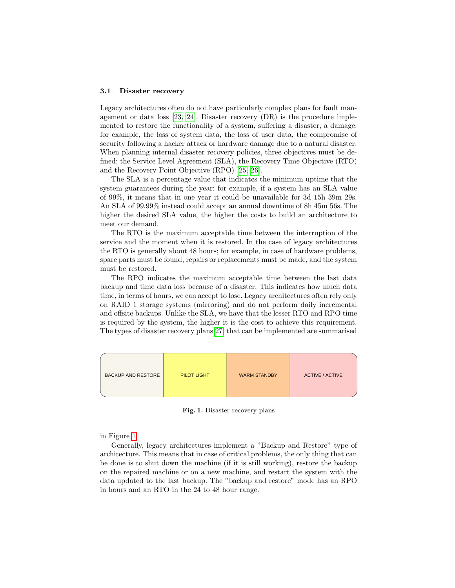#### 3.1 Disaster recovery

Legacy architectures often do not have particularly complex plans for fault management or data loss [\[23,](#page-13-6) [24\]](#page-13-7). Disaster recovery (DR) is the procedure implemented to restore the functionality of a system, suffering a disaster, a damage: for example, the loss of system data, the loss of user data, the compromise of security following a hacker attack or hardware damage due to a natural disaster. When planning internal disaster recovery policies, three objectives must be defined: the Service Level Agreement (SLA), the Recovery Time Objective (RTO) and the Recovery Point Objective (RPO) [\[25,](#page-13-8) [26\]](#page-13-9).

The SLA is a percentage value that indicates the minimum uptime that the system guarantees during the year: for example, if a system has an SLA value of 99%, it means that in one year it could be unavailable for 3d 15h 39m 29s. An SLA of 99.99% instead could accept an annual downtime of 8h 45m 56s. The higher the desired SLA value, the higher the costs to build an architecture to meet our demand.

The RTO is the maximum acceptable time between the interruption of the service and the moment when it is restored. In the case of legacy architectures the RTO is generally about 48 hours; for example, in case of hardware problems, spare parts must be found, repairs or replacements must be made, and the system must be restored.

The RPO indicates the maximum acceptable time between the last data backup and time data loss because of a disaster. This indicates how much data time, in terms of hours, we can accept to lose. Legacy architectures often rely only on RAID 1 storage systems (mirroring) and do not perform daily incremental and offsite backups. Unlike the SLA, we have that the lesser RTO and RPO time is required by the system, the higher it is the cost to achieve this requirement. The types of disaster recovery plans[\[27\]](#page-13-10) that can be implemented are summarised



<span id="page-3-0"></span>Fig. 1. Disaster recovery plans

in Figure [1.](#page-3-0)

Generally, legacy architectures implement a "Backup and Restore" type of architecture. This means that in case of critical problems, the only thing that can be done is to shut down the machine (if it is still working), restore the backup on the repaired machine or on a new machine, and restart the system with the data updated to the last backup. The "backup and restore" mode has an RPO in hours and an RTO in the 24 to 48 hour range.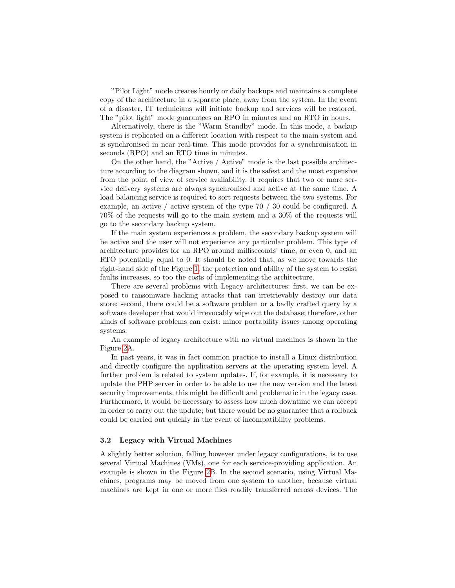"Pilot Light" mode creates hourly or daily backups and maintains a complete copy of the architecture in a separate place, away from the system. In the event of a disaster, IT technicians will initiate backup and services will be restored. The "pilot light" mode guarantees an RPO in minutes and an RTO in hours.

Alternatively, there is the "Warm Standby" mode. In this mode, a backup system is replicated on a different location with respect to the main system and is synchronised in near real-time. This mode provides for a synchronisation in seconds (RPO) and an RTO time in minutes.

On the other hand, the "Active / Active" mode is the last possible architecture according to the diagram shown, and it is the safest and the most expensive from the point of view of service availability. It requires that two or more service delivery systems are always synchronised and active at the same time. A load balancing service is required to sort requests between the two systems. For example, an active / active system of the type 70 / 30 could be configured. A 70% of the requests will go to the main system and a 30% of the requests will go to the secondary backup system.

If the main system experiences a problem, the secondary backup system will be active and the user will not experience any particular problem. This type of architecture provides for an RPO around milliseconds' time, or even 0, and an RTO potentially equal to 0. It should be noted that, as we move towards the right-hand side of the Figure [1,](#page-3-0) the protection and ability of the system to resist faults increases, so too the costs of implementing the architecture.

There are several problems with Legacy architectures: first, we can be exposed to ransomware hacking attacks that can irretrievably destroy our data store; second, there could be a software problem or a badly crafted query by a software developer that would irrevocably wipe out the database; therefore, other kinds of software problems can exist: minor portability issues among operating systems.

An example of legacy architecture with no virtual machines is shown in the Figure [2A](#page-5-0).

In past years, it was in fact common practice to install a Linux distribution and directly configure the application servers at the operating system level. A further problem is related to system updates. If, for example, it is necessary to update the PHP server in order to be able to use the new version and the latest security improvements, this might be difficult and problematic in the legacy case. Furthermore, it would be necessary to assess how much downtime we can accept in order to carry out the update; but there would be no guarantee that a rollback could be carried out quickly in the event of incompatibility problems.

#### 3.2 Legacy with Virtual Machines

A slightly better solution, falling however under legacy configurations, is to use several Virtual Machines (VMs), one for each service-providing application. An example is shown in the Figure [2B](#page-5-0). In the second scenario, using Virtual Machines, programs may be moved from one system to another, because virtual machines are kept in one or more files readily transferred across devices. The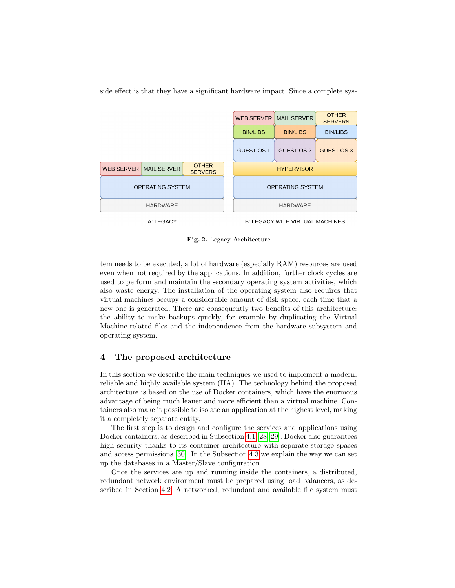



<span id="page-5-0"></span>Fig. 2. Legacy Architecture

tem needs to be executed, a lot of hardware (especially RAM) resources are used even when not required by the applications. In addition, further clock cycles are used to perform and maintain the secondary operating system activities, which also waste energy. The installation of the operating system also requires that virtual machines occupy a considerable amount of disk space, each time that a new one is generated. There are consequently two benefits of this architecture: the ability to make backups quickly, for example by duplicating the Virtual Machine-related files and the independence from the hardware subsystem and operating system.

# 4 The proposed architecture

In this section we describe the main techniques we used to implement a modern, reliable and highly available system (HA). The technology behind the proposed architecture is based on the use of Docker containers, which have the enormous advantage of being much leaner and more efficient than a virtual machine. Containers also make it possible to isolate an application at the highest level, making it a completely separate entity.

The first step is to design and configure the services and applications using Docker containers, as described in Subsection [4.1](#page-6-0) [\[28,](#page-13-11) [29\]](#page-13-12). Docker also guarantees high security thanks to its container architecture with separate storage spaces and access permissions [\[30\]](#page-13-13). In the Subsection [4.3](#page-8-0) we explain the way we can set up the databases in a Master/Slave configuration.

Once the services are up and running inside the containers, a distributed, redundant network environment must be prepared using load balancers, as described in Section [4.2.](#page-6-1) A networked, redundant and available file system must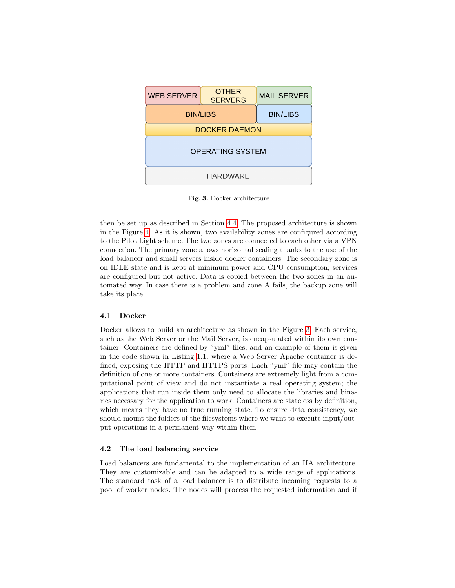| <b>WEB SERVER</b>       | <b>OTHER</b><br><b>SERVERS</b> | <b>MAIL SERVER</b> |  |  |  |
|-------------------------|--------------------------------|--------------------|--|--|--|
| <b>BIN/LIBS</b>         | <b>BIN/LIBS</b>                |                    |  |  |  |
| DOCKER DAEMON           |                                |                    |  |  |  |
| <b>OPERATING SYSTEM</b> |                                |                    |  |  |  |
| <b>HARDWARE</b>         |                                |                    |  |  |  |

<span id="page-6-2"></span>Fig. 3. Docker architecture

then be set up as described in Section [4.4.](#page-9-0) The proposed architecture is shown in the Figure [4.](#page-7-0) As it is shown, two availability zones are configured according to the Pilot Light scheme. The two zones are connected to each other via a VPN connection. The primary zone allows horizontal scaling thanks to the use of the load balancer and small servers inside docker containers. The secondary zone is on IDLE state and is kept at minimum power and CPU consumption; services are configured but not active. Data is copied between the two zones in an automated way. In case there is a problem and zone A fails, the backup zone will take its place.

## <span id="page-6-0"></span>4.1 Docker

Docker allows to build an architecture as shown in the Figure [3.](#page-6-2) Each service, such as the Web Server or the Mail Server, is encapsulated within its own container. Containers are defined by "yml" files, and an example of them is given in the code shown in Listing [1.1,](#page-8-1) where a Web Server Apache container is defined, exposing the HTTP and HTTPS ports. Each "yml" file may contain the definition of one or more containers. Containers are extremely light from a computational point of view and do not instantiate a real operating system; the applications that run inside them only need to allocate the libraries and binaries necessary for the application to work. Containers are stateless by definition, which means they have no true running state. To ensure data consistency, we should mount the folders of the filesystems where we want to execute input/output operations in a permanent way within them.

## <span id="page-6-1"></span>4.2 The load balancing service

Load balancers are fundamental to the implementation of an HA architecture. They are customizable and can be adapted to a wide range of applications. The standard task of a load balancer is to distribute incoming requests to a pool of worker nodes. The nodes will process the requested information and if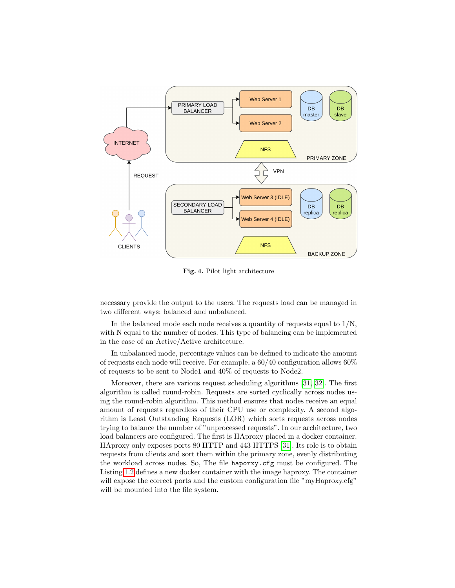

<span id="page-7-0"></span>Fig. 4. Pilot light architecture

necessary provide the output to the users. The requests load can be managed in two different ways: balanced and unbalanced.

In the balanced mode each node receives a quantity of requests equal to 1/N, with N equal to the number of nodes. This type of balancing can be implemented in the case of an Active/Active architecture.

In unbalanced mode, percentage values can be defined to indicate the amount of requests each node will receive. For example, a  $60/40$  configuration allows  $60\%$ of requests to be sent to Node1 and 40% of requests to Node2.

Moreover, there are various request scheduling algorithms [\[31,](#page-14-0) [32\]](#page-14-1). The first algorithm is called round-robin. Requests are sorted cyclically across nodes using the round-robin algorithm. This method ensures that nodes receive an equal amount of requests regardless of their CPU use or complexity. A second algorithm is Least Outstanding Requests (LOR) which sorts requests across nodes trying to balance the number of "unprocessed requests". In our architecture, two load balancers are configured. The first is HAproxy placed in a docker container. HAproxy only exposes ports 80 HTTP and 443 HTTPS [\[31\]](#page-14-0). Its role is to obtain requests from clients and sort them within the primary zone, evenly distributing the workload across nodes. So, The file haporxy.cfg must be configured. The Listing [1.2](#page-9-1) defines a new docker container with the image haproxy. The container will expose the correct ports and the custom configuration file "myHaproxy.cfg" will be mounted into the file system.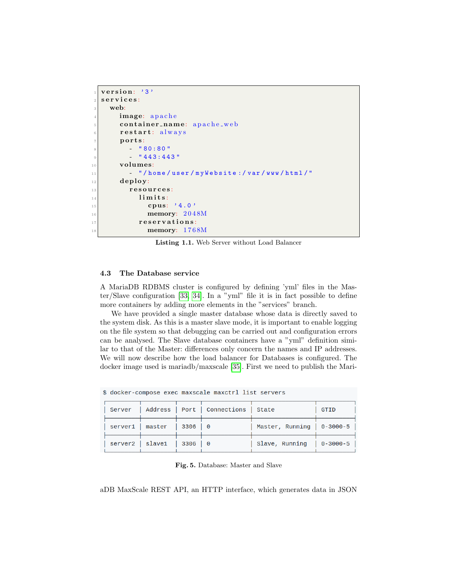```
version: '3's er vices:
      web:
          image: a pache
          container_name: apache_web
          r e start: always
          ports:
             - " 80:80"
               " 443 : 443"_{10} volumes:
\left| \begin{array}{ccc} 1 & 1 & 1 \end{array} \right| - "/home/user/myWebsite:/var/www/html/"
\begin{array}{c|c} \hline \end{array} deploy:
\begin{array}{c|c}\n 13 & \textbf{resources:} \n \end{array}\frac{1}{14} limits:
\text{cpus}: \text{'}4.0'
_{16} memory: 2048M\begin{array}{c|c}\n \hline\n & \text{reservation}:\n\end{array}memory: 1768M
```
Listing 1.1. Web Server without Load Balancer

# <span id="page-8-0"></span>4.3 The Database service

A MariaDB RDBMS cluster is configured by defining 'yml' files in the Master/Slave configuration [\[33,](#page-14-2) [34\]](#page-14-3). In a "yml" file it is in fact possible to define more containers by adding more elements in the "services" branch.

We have provided a single master database whose data is directly saved to the system disk. As this is a master slave mode, it is important to enable logging on the file system so that debugging can be carried out and configuration errors can be analysed. The Slave database containers have a "yml" definition similar to that of the Master: differences only concern the names and IP addresses. We will now describe how the load balancer for Databases is configured. The docker image used is mariadb/maxscale [\[35\]](#page-14-4). First we need to publish the Mari-

|  |                                     | Server   Address   Port   Connections   State |                                  | <b>GTID</b> |
|--|-------------------------------------|-----------------------------------------------|----------------------------------|-------------|
|  | $\vert$ server1   master   3306   0 |                                               | Master, Running $\vert 0.3000-5$ |             |
|  | server2   slave1   3306   0         |                                               | Slave, Running $\vert 0.3000-5$  |             |

\$ docker-compose exec maxscale maxctrl list servers

<span id="page-8-2"></span>Fig. 5. Database: Master and Slave

aDB MaxScale REST API, an HTTP interface, which generates data in JSON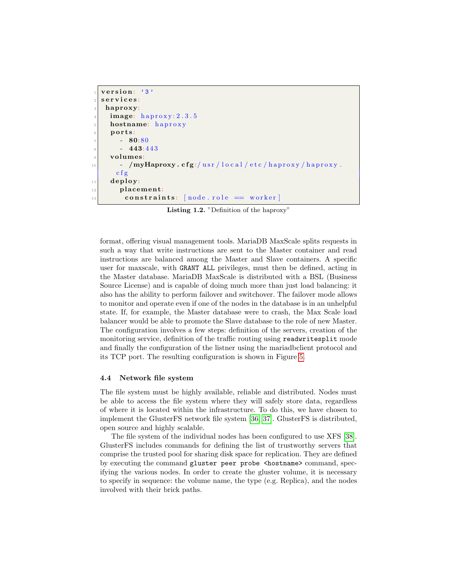<span id="page-9-1"></span>

|                | version: $3'$                                    |
|----------------|--------------------------------------------------|
| $\overline{2}$ | services:                                        |
| 3              | haproxy:                                         |
| $\overline{4}$ | $image:$ haproxy: $2.3.5$                        |
| 5              | hostname: haproxy                                |
| 6              | ports:                                           |
|                | $-80:80$                                         |
| 8              | $-443:443$                                       |
| 9              | volumes:                                         |
| 10             | - /myHaproxy.cfg:/usr/local/etc/haproxy/haproxy. |
|                | cfg                                              |
| 11             | deploy:                                          |
| 12             | placement:                                       |
| 13             | constraints: $[node.\role == worker]$            |

Listing 1.2. "Definition of the haproxy"

format, offering visual management tools. MariaDB MaxScale splits requests in such a way that write instructions are sent to the Master container and read instructions are balanced among the Master and Slave containers. A specific user for maxscale, with GRANT ALL privileges, must then be defined, acting in the Master database. MariaDB MaxScale is distributed with a BSL (Business Source License) and is capable of doing much more than just load balancing: it also has the ability to perform failover and switchover. The failover mode allows to monitor and operate even if one of the nodes in the database is in an unhelpful state. If, for example, the Master database were to crash, the Max Scale load balancer would be able to promote the Slave database to the role of new Master. The configuration involves a few steps: definition of the servers, creation of the monitoring service, definition of the traffic routing using readwritesplit mode and finally the configuration of the listner using the mariadbclient protocol and its TCP port. The resulting configuration is shown in Figure [5.](#page-8-2)

#### <span id="page-9-0"></span>4.4 Network file system

The file system must be highly available, reliable and distributed. Nodes must be able to access the file system where they will safely store data, regardless of where it is located within the infrastructure. To do this, we have chosen to implement the GlusterFS network file system [\[36,](#page-14-5) [37\]](#page-14-6). GlusterFS is distributed, open source and highly scalable.

The file system of the individual nodes has been configured to use XFS [\[38\]](#page-14-7). GlusterFS includes commands for defining the list of trustworthy servers that comprise the trusted pool for sharing disk space for replication. They are defined by executing the command gluster peer probe <hostname> command, specifying the various nodes. In order to create the gluster volume, it is necessary to specify in sequence: the volume name, the type (e.g. Replica), and the nodes involved with their brick paths.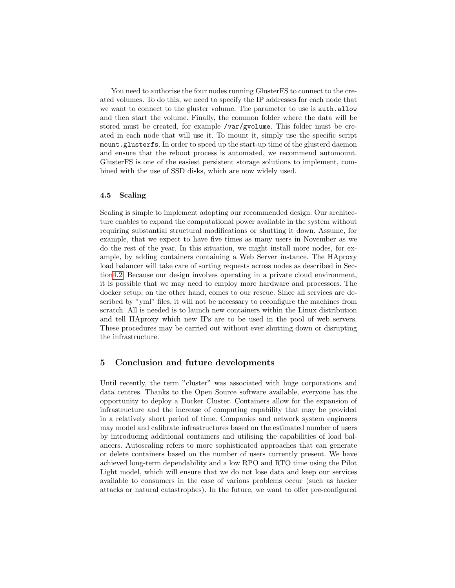You need to authorise the four nodes running GlusterFS to connect to the created volumes. To do this, we need to specify the IP addresses for each node that we want to connect to the gluster volume. The parameter to use is  $\text{auth.allow}$ and then start the volume. Finally, the common folder where the data will be stored must be created, for example /var/gvolume. This folder must be created in each node that will use it. To mount it, simply use the specific script mount.glusterfs. In order to speed up the start-up time of the glusterd daemon and ensure that the reboot process is automated, we recommend automount. GlusterFS is one of the easiest persistent storage solutions to implement, combined with the use of SSD disks, which are now widely used.

#### 4.5 Scaling

Scaling is simple to implement adopting our recommended design. Our architecture enables to expand the computational power available in the system without requiring substantial structural modifications or shutting it down. Assume, for example, that we expect to have five times as many users in November as we do the rest of the year. In this situation, we might install more nodes, for example, by adding containers containing a Web Server instance. The HAproxy load balancer will take care of sorting requests across nodes as described in Sectio[n4.2.](#page-6-1) Because our design involves operating in a private cloud environment, it is possible that we may need to employ more hardware and processors. The docker setup, on the other hand, comes to our rescue. Since all services are described by "yml" files, it will not be necessary to reconfigure the machines from scratch. All is needed is to launch new containers within the Linux distribution and tell HAproxy which new IPs are to be used in the pool of web servers. These procedures may be carried out without ever shutting down or disrupting the infrastructure.

## 5 Conclusion and future developments

Until recently, the term "cluster" was associated with huge corporations and data centres. Thanks to the Open Source software available, everyone has the opportunity to deploy a Docker Cluster. Containers allow for the expansion of infrastructure and the increase of computing capability that may be provided in a relatively short period of time. Companies and network system engineers may model and calibrate infrastructures based on the estimated number of users by introducing additional containers and utilising the capabilities of load balancers. Autoscaling refers to more sophisticated approaches that can generate or delete containers based on the number of users currently present. We have achieved long-term dependability and a low RPO and RTO time using the Pilot Light model, which will ensure that we do not lose data and keep our services available to consumers in the case of various problems occur (such as hacker attacks or natural catastrophes). In the future, we want to offer pre-configured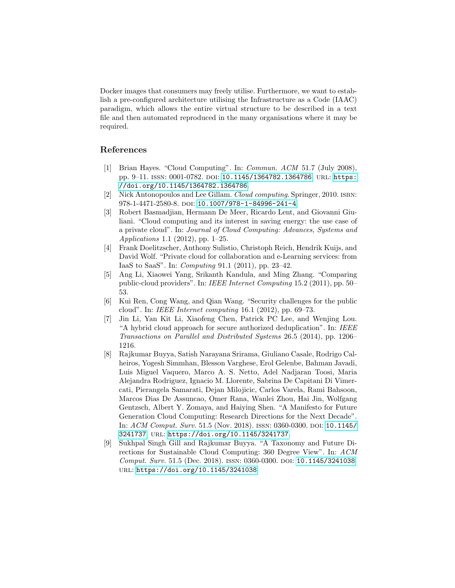Docker images that consumers may freely utilise. Furthermore, we want to establish a pre-configured architecture utilising the Infrastructure as a Code (IAAC) paradigm, which allows the entire virtual structure to be described in a text file and then automated reproduced in the many organisations where it may be required.

# References

- <span id="page-11-0"></span>[1] Brian Hayes. "Cloud Computing". In: Commun. ACM 51.7 (July 2008), pp. 9-11. ISSN: 0001-0782. DOI: [10.1145/1364782.1364786](https://doi.org/10.1145/1364782.1364786). URL: [https:](https://doi.org/10.1145/1364782.1364786) [//doi.org/10.1145/1364782.1364786](https://doi.org/10.1145/1364782.1364786).
- <span id="page-11-1"></span>[2] Nick Antonopoulos and Lee Gillam. Cloud computing. Springer, 2010. ISBN: 978-1-4471-2580-8. DOI: [10.1007/978-1-84996-241-4](https://doi.org/10.1007/978-1-84996-241-4).
- <span id="page-11-2"></span>[3] Robert Basmadjian, Hermann De Meer, Ricardo Lent, and Giovanni Giuliani. "Cloud computing and its interest in saving energy: the use case of a private cloud". In: Journal of Cloud Computing: Advances, Systems and Applications 1.1 (2012), pp. 1–25.
- <span id="page-11-3"></span>[4] Frank Doelitzscher, Anthony Sulistio, Christoph Reich, Hendrik Kuijs, and David Wolf. "Private cloud for collaboration and e-Learning services: from IaaS to SaaS". In: Computing 91.1 (2011), pp. 23–42.
- <span id="page-11-4"></span>[5] Ang Li, Xiaowei Yang, Srikanth Kandula, and Ming Zhang. "Comparing public-cloud providers". In: IEEE Internet Computing 15.2 (2011), pp. 50– 53.
- <span id="page-11-5"></span>[6] Kui Ren, Cong Wang, and Qian Wang. "Security challenges for the public cloud". In: IEEE Internet computing 16.1 (2012), pp. 69–73.
- <span id="page-11-6"></span>[7] Jin Li, Yan Kit Li, Xiaofeng Chen, Patrick PC Lee, and Wenjing Lou. "A hybrid cloud approach for secure authorized deduplication". In: IEEE Transactions on Parallel and Distributed Systems 26.5 (2014), pp. 1206– 1216.
- <span id="page-11-7"></span>[8] Rajkumar Buyya, Satish Narayana Srirama, Giuliano Casale, Rodrigo Calheiros, Yogesh Simmhan, Blesson Varghese, Erol Gelenbe, Bahman Javadi, Luis Miguel Vaquero, Marco A. S. Netto, Adel Nadjaran Toosi, Maria Alejandra Rodriguez, Ignacio M. Llorente, Sabrina De Capitani Di Vimercati, Pierangela Samarati, Dejan Milojicic, Carlos Varela, Rami Bahsoon, Marcos Dias De Assuncao, Omer Rana, Wanlei Zhou, Hai Jin, Wolfgang Gentzsch, Albert Y. Zomaya, and Haiying Shen. "A Manifesto for Future Generation Cloud Computing: Research Directions for the Next Decade". In: ACM Comput. Surv. 51.5 (Nov. 2018). issn: 0360-0300. doi: [10.1145/](https://doi.org/10.1145/3241737) [3241737](https://doi.org/10.1145/3241737). url: <https://doi.org/10.1145/3241737>.
- <span id="page-11-8"></span>[9] Sukhpal Singh Gill and Rajkumar Buyya. "A Taxonomy and Future Directions for Sustainable Cloud Computing: 360 Degree View". In: ACM Comput. Surv. 51.5 (Dec. 2018). ISSN: 0360-0300. DOI: [10.1145/3241038](https://doi.org/10.1145/3241038). url: <https://doi.org/10.1145/3241038>.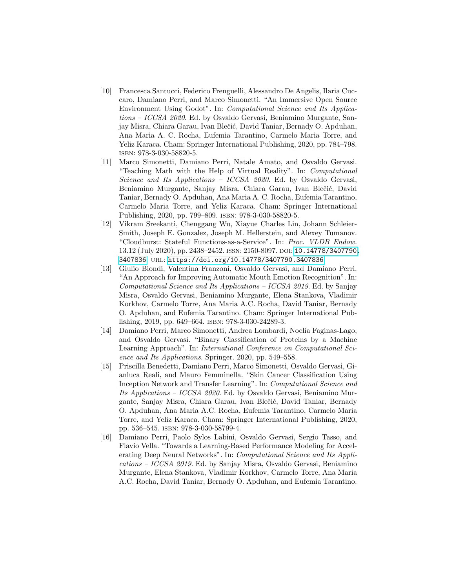- <span id="page-12-0"></span>[10] Francesca Santucci, Federico Frenguelli, Alessandro De Angelis, Ilaria Cuccaro, Damiano Perri, and Marco Simonetti. "An Immersive Open Source Environment Using Godot". In: Computational Science and Its Applications – ICCSA 2020. Ed. by Osvaldo Gervasi, Beniamino Murgante, Sanjay Misra, Chiara Garau, Ivan Blečić, David Taniar, Bernady O. Apduhan, Ana Maria A. C. Rocha, Eufemia Tarantino, Carmelo Maria Torre, and Yeliz Karaca. Cham: Springer International Publishing, 2020, pp. 784–798. isbn: 978-3-030-58820-5.
- <span id="page-12-1"></span>[11] Marco Simonetti, Damiano Perri, Natale Amato, and Osvaldo Gervasi. "Teaching Math with the Help of Virtual Reality". In: Computational Science and Its Applications - ICCSA 2020. Ed. by Osvaldo Gervasi, Beniamino Murgante, Sanjay Misra, Chiara Garau, Ivan Blečić, David Taniar, Bernady O. Apduhan, Ana Maria A. C. Rocha, Eufemia Tarantino, Carmelo Maria Torre, and Yeliz Karaca. Cham: Springer International Publishing, 2020, pp. 799–809. isbn: 978-3-030-58820-5.
- <span id="page-12-2"></span>[12] Vikram Sreekanti, Chenggang Wu, Xiayue Charles Lin, Johann Schleier-Smith, Joseph E. Gonzalez, Joseph M. Hellerstein, and Alexey Tumanov. "Cloudburst: Stateful Functions-as-a-Service". In: Proc. VLDB Endow. 13.12 (July 2020), pp. 2438–2452. issn: 2150-8097. doi: [10.14778/3407790.](https://doi.org/10.14778/3407790.3407836) [3407836](https://doi.org/10.14778/3407790.3407836). url: <https://doi.org/10.14778/3407790.3407836>.
- <span id="page-12-3"></span>[13] Giulio Biondi, Valentina Franzoni, Osvaldo Gervasi, and Damiano Perri. "An Approach for Improving Automatic Mouth Emotion Recognition". In: Computational Science and Its Applications – ICCSA 2019. Ed. by Sanjay Misra, Osvaldo Gervasi, Beniamino Murgante, Elena Stankova, Vladimir Korkhov, Carmelo Torre, Ana Maria A.C. Rocha, David Taniar, Bernady O. Apduhan, and Eufemia Tarantino. Cham: Springer International Publishing, 2019, pp. 649–664. isbn: 978-3-030-24289-3.
- <span id="page-12-4"></span>[14] Damiano Perri, Marco Simonetti, Andrea Lombardi, Noelia Faginas-Lago, and Osvaldo Gervasi. "Binary Classification of Proteins by a Machine Learning Approach". In: International Conference on Computational Science and Its Applications. Springer. 2020, pp. 549–558.
- <span id="page-12-5"></span>[15] Priscilla Benedetti, Damiano Perri, Marco Simonetti, Osvaldo Gervasi, Gianluca Reali, and Mauro Femminella. "Skin Cancer Classification Using Inception Network and Transfer Learning". In: Computational Science and Its Applications – ICCSA 2020. Ed. by Osvaldo Gervasi, Beniamino Murgante, Sanjay Misra, Chiara Garau, Ivan Blečić, David Taniar, Bernady O. Apduhan, Ana Maria A.C. Rocha, Eufemia Tarantino, Carmelo Maria Torre, and Yeliz Karaca. Cham: Springer International Publishing, 2020, pp. 536–545. isbn: 978-3-030-58799-4.
- <span id="page-12-6"></span>[16] Damiano Perri, Paolo Sylos Labini, Osvaldo Gervasi, Sergio Tasso, and Flavio Vella. "Towards a Learning-Based Performance Modeling for Accelerating Deep Neural Networks". In: Computational Science and Its Applications – ICCSA 2019. Ed. by Sanjay Misra, Osvaldo Gervasi, Beniamino Murgante, Elena Stankova, Vladimir Korkhov, Carmelo Torre, Ana Maria A.C. Rocha, David Taniar, Bernady O. Apduhan, and Eufemia Tarantino.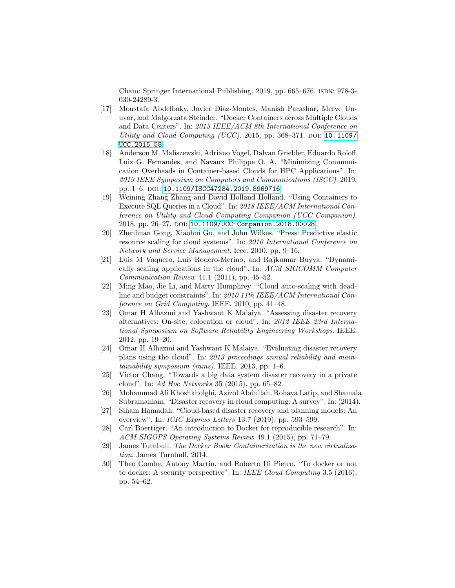Cham: Springer International Publishing, 2019, pp. 665–676. isbn: 978-3- 030-24289-3.

- <span id="page-13-0"></span>[17] Moustafa Abdelbaky, Javier Diaz-Montes, Manish Parashar, Merve Unuvar, and Malgorzata Steinder. "Docker Containers across Multiple Clouds and Data Centers". In: 2015 IEEE/ACM 8th International Conference on Utility and Cloud Computing (UCC). 2015, pp. 368-371. DOI:  $10.1109$ / [UCC.2015.58](https://doi.org/10.1109/UCC.2015.58).
- <span id="page-13-1"></span>[18] Anderson M. Maliszewski, Adriano Vogel, Dalvan Griebler, Eduardo Roloff, Luiz G. Fernandes, and Navaux Philippe O. A. "Minimizing Communication Overheads in Container-based Clouds for HPC Applications". In: 2019 IEEE Symposium on Computers and Communications (ISCC). 2019, pp. 1–6. doi: [10.1109/ISCC47284.2019.8969716](https://doi.org/10.1109/ISCC47284.2019.8969716).
- <span id="page-13-2"></span>[19] Weining Zhang Zhang and David Holland Holland. "Using Containers to Execute SQL Queries in a Cloud". In: 2018 IEEE/ACM International Conference on Utility and Cloud Computing Companion (UCC Companion). 2018, pp. 26-27. DOI: [10.1109/UCC-Companion.2018.00028](https://doi.org/10.1109/UCC-Companion.2018.00028).
- <span id="page-13-3"></span>[20] Zhenhuan Gong, Xiaohui Gu, and John Wilkes. "Press: Predictive elastic resource scaling for cloud systems". In: 2010 International Conference on Network and Service Management. Ieee. 2010, pp. 9–16.
- <span id="page-13-4"></span>[21] Luis M Vaquero, Luis Rodero-Merino, and Rajkumar Buyya. "Dynamically scaling applications in the cloud". In: ACM SIGCOMM Computer Communication Review 41.1 (2011), pp. 45–52.
- <span id="page-13-5"></span>[22] Ming Mao, Jie Li, and Marty Humphrey. "Cloud auto-scaling with deadline and budget constraints". In: 2010 11th IEEE/ACM International Conference on Grid Computing. IEEE. 2010, pp. 41–48.
- <span id="page-13-6"></span>[23] Omar H Alhazmi and Yashwant K Malaiya. "Assessing disaster recovery alternatives: On-site, colocation or cloud". In: 2012 IEEE 23rd International Symposium on Software Reliability Engineering Workshops. IEEE. 2012, pp. 19–20.
- <span id="page-13-7"></span>[24] Omar H Alhazmi and Yashwant K Malaiya. "Evaluating disaster recovery plans using the cloud". In: 2013 proceedings annual reliability and maintainability symposium (rams). IEEE. 2013, pp. 1–6.
- <span id="page-13-8"></span>[25] Victor Chang. "Towards a big data system disaster recovery in a private cloud". In: Ad Hoc Networks 35 (2015), pp. 65–82.
- <span id="page-13-9"></span>[26] Mohammad Ali Khoshkholghi, Azizol Abdullah, Rohaya Latip, and Shamala Subramaniam. "Disaster recovery in cloud computing: A survey". In: (2014).
- <span id="page-13-10"></span>[27] Siham Hamadah. "Cloud-based disaster recovery and planning models: An overview". In: ICIC Express Letters 13.7 (2019), pp. 593–599.
- <span id="page-13-11"></span>[28] Carl Boettiger. "An introduction to Docker for reproducible research". In: ACM SIGOPS Operating Systems Review 49.1 (2015), pp. 71–79.
- <span id="page-13-12"></span>[29] James Turnbull. The Docker Book: Containerization is the new virtualization. James Turnbull, 2014.
- <span id="page-13-13"></span>[30] Theo Combe, Antony Martin, and Roberto Di Pietro. "To docker or not to docker: A security perspective". In: IEEE Cloud Computing 3.5 (2016), pp. 54–62.